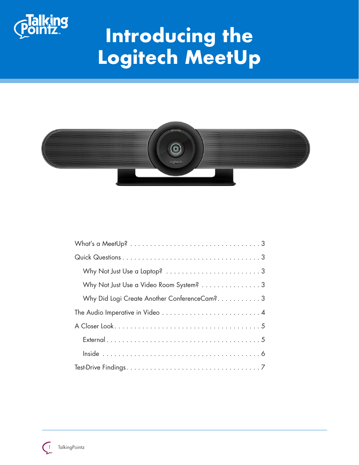

# **Introducing the Logitech MeetUp**



| Why Not Just Use a Video Room System? 3                                                   |
|-------------------------------------------------------------------------------------------|
| Why Did Logi Create Another ConferenceCam?3                                               |
| The Audio Imperative in Video $\ldots \ldots \ldots \ldots \ldots \ldots \ldots \ldots 4$ |
|                                                                                           |
|                                                                                           |
|                                                                                           |
|                                                                                           |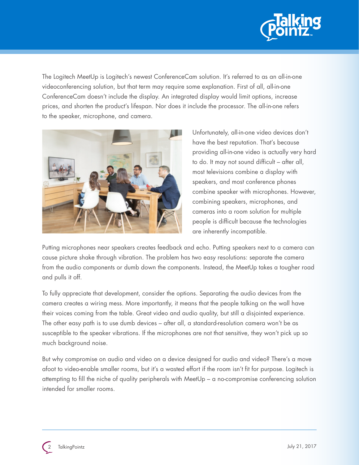

The Logitech MeetUp is Logitech's newest ConferenceCam solution. It's referred to as an all-in-one videoconferencing solution, but that term may require some explanation. First of all, all-in-one ConferenceCam doesn't include the display. An integrated display would limit options, increase prices, and shorten the product's lifespan. Nor does it include the processor. The all-in-one refers to the speaker, microphone, and camera.



Unfortunately, all-in-one video devices don't have the best reputation. That's because providing all-in-one video is actually very hard to do. It may not sound difficult – after all, most televisions combine a display with speakers, and most conference phones combine speaker with microphones. However, combining speakers, microphones, and cameras into a room solution for multiple people is difficult because the technologies are inherently incompatible.

Putting microphones near speakers creates feedback and echo. Putting speakers next to a camera can cause picture shake through vibration. The problem has two easy resolutions: separate the camera from the audio components or dumb down the components. Instead, the MeetUp takes a tougher road and pulls it off.

To fully appreciate that development, consider the options. Separating the audio devices from the camera creates a wiring mess. More importantly, it means that the people talking on the wall have their voices coming from the table. Great video and audio quality, but still a disjointed experience. The other easy path is to use dumb devices – after all, a standard-resolution camera won't be as susceptible to the speaker vibrations. If the microphones are not that sensitive, they won't pick up so much background noise.

But why compromise on audio and video on a device designed for audio and video? There's a move afoot to video-enable smaller rooms, but it's a wasted effort if the room isn't fit for purpose. Logitech is attempting to fill the niche of quality peripherals with MeetUp – a no-compromise conferencing solution intended for smaller rooms.

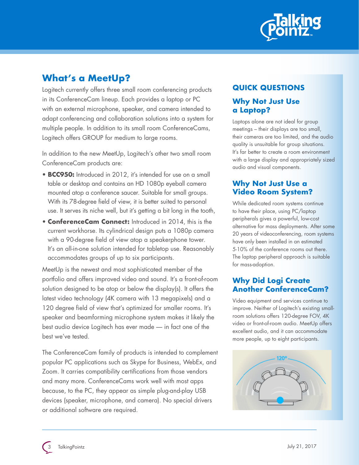

## **What's a MeetUp?**

Logitech currently offers three small room conferencing products in its ConferenceCam lineup. Each provides a laptop or PC with an external microphone, speaker, and camera intended to adapt conferencing and collaboration solutions into a system for multiple people. In addition to its small room ConferenceCams, Logitech offers GROUP for medium to large rooms.

In addition to the new MeetUp, Logitech's other two small room ConferenceCam products are:

- **BCC950:** Introduced in 2012, it's intended for use on a small table or desktop and contains an HD 1080p eyeball camera mounted atop a conference saucer. Suitable for small groups. With its 78-degree field of view, it is better suited to personal use. It serves its niche well, but it's getting a bit long in the tooth,
- **ConferenceCam Connect:** Introduced in 2014, this is the current workhorse. Its cylindrical design puts a 1080p camera with a 90-degree field of view atop a speakerphone tower. It's an all-in-one solution intended for tabletop use. Reasonably accommodates groups of up to six participants.

MeetUp is the newest and most sophisticated member of the portfolio and offers improved video and sound. It's a front-of-room solution designed to be atop or below the display(s). It offers the latest video technology (4K camera with 13 megapixels) and a 120 degree field of view that's optimized for smaller rooms. It's speaker and beamforming microphone system makes it likely the best audio device Logitech has ever made — in fact one of the best we've tested.

The ConferenceCam family of products is intended to complement popular PC applications such as Skype for Business, WebEx, and Zoom. It carries compatibility certifications from those vendors and many more. ConferenceCams work well with most apps because, to the PC, they appear as simple plug-and-play USB devices (speaker, microphone, and camera). No special drivers or additional software are required.

### **QUICK QUESTIONS**

#### **Why Not Just Use a Laptop?**

Laptops alone are not ideal for group meetings – their displays are too small, their cameras are too limited, and the audio quality is unsuitable for group situations. It's far better to create a room environment with a large display and appropriately sized audio and visual components.

#### **Why Not Just Use a Video Room System?**

While dedicated room systems continue to have their place, using PC/laptop peripherals gives a powerful, low-cost alternative for mass deployments. After some 20 years of videoconferencing, room systems have only been installed in an estimated 5-10% of the conference rooms out there. The laptop peripheral approach is suitable for mass-adoption.

#### **Why Did Logi Create Another ConferenceCam?**

Video equipment and services continue to improve. Neither of Logitech's existing smallroom solutions offers 120-degree FOV, 4K video or front-of-room audio. MeetUp offers excellent audio, and it can accommodate more people, up to eight participants.

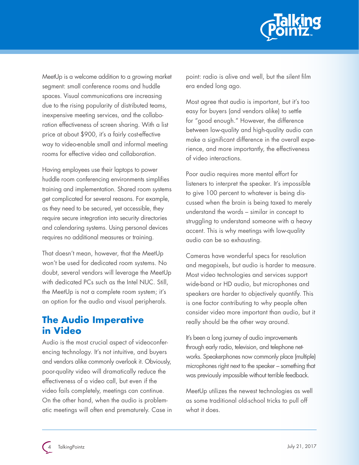

MeetUp is a welcome addition to a growing market segment: small conference rooms and huddle spaces. Visual communications are increasing due to the rising popularity of distributed teams, inexpensive meeting services, and the collaboration effectiveness of screen sharing. With a list price at about \$900, it's a fairly cost-effective way to video-enable small and informal meeting rooms for effective video and collaboration.

Having employees use their laptops to power huddle room conferencing environments simplifies training and implementation. Shared room systems get complicated for several reasons. For example, as they need to be secured, yet accessible, they require secure integration into security directories and calendaring systems. Using personal devices requires no additional measures or training.

That doesn't mean, however, that the MeetUp won't be used for dedicated room systems. No doubt, several vendors will leverage the MeetUp with dedicated PCs such as the Intel NUC. Still, the MeetUp is not a complete room system; it's an option for the audio and visual peripherals.

## **The Audio Imperative in Video**

Audio is the most crucial aspect of videoconferencing technology. It's not intuitive, and buyers and vendors alike commonly overlook it. Obviously, poor-quality video will dramatically reduce the effectiveness of a video call, but even if the video fails completely, meetings can continue. On the other hand, when the audio is problematic meetings will often end prematurely. Case in point: radio is alive and well, but the silent film era ended long ago.

Most agree that audio is important, but it's too easy for buyers (and vendors alike) to settle for "good enough." However, the difference between low-quality and high-quality audio can make a significant difference in the overall experience, and more importantly, the effectiveness of video interactions.

Poor audio requires more mental effort for listeners to interpret the speaker. It's impossible to give 100 percent to whatever is being discussed when the brain is being taxed to merely understand the words – similar in concept to struggling to understand someone with a heavy accent. This is why meetings with low-quality audio can be so exhausting.

Cameras have wonderful specs for resolution and megapixels, but audio is harder to measure. Most video technologies and services support wide-band or HD audio, but microphones and speakers are harder to objectively quantify. This is one factor contributing to why people often consider video more important than audio, but it really should be the other way around.

It's been a long journey of audio improvements through early radio, television, and telephone networks. Speakerphones now commonly place (multiple) microphones right next to the speaker – something that was previously impossible without terrible feedback.

MeetUp utilizes the newest technologies as well as some traditional old-school tricks to pull off what it does.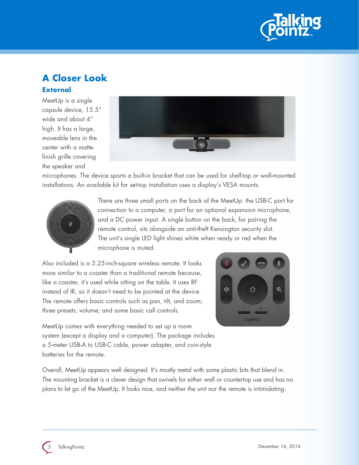

## **A Closer Look External**

MeetUp is a single capsule device, 15.5" wide and about 4" high. It has a large, moveable lens in the center with a mattefinish grille covering the speaker and



microphones. The device sports a built-in bracket that can be used for shelf-top or wall-mounted installations. An available kit for set-top installation uses a display's VESA mounts.



There are three small ports on the back of the MeetUp: the USB-C port for connection to a computer, a port for an optional expansion microphone, and a DC power input. A single button on the back, for pairing the remote control, sits alongside an anti-theft Kensington security slot. The unit's single LED light shines white when ready or red when the microphone is muted.

Also included is a 3.25-inch-square wireless remote. It looks more similar to a coaster than a traditional remote because, like a coaster, it's used while sitting on the table. It uses RF instead of IR, so it doesn't need to be pointed at the device. The remote offers basic controls such as pan, tilt, and zoom; three presets; volume; and some basic call controls.



MeetUp comes with everything needed to set up a room system (except a display and a computer). The package includes a 5-meter USB-A to USB-C cable, power adapter, and coin-style batteries for the remote.

Overall, MeetUp appears well designed. It's mostly metal with some plastic bits that blend in. The mounting bracket is a clever design that swivels for either wall or countertop use and has no plans to let go of the MeetUp. It looks nice, and neither the unit nor the remote is intimidating.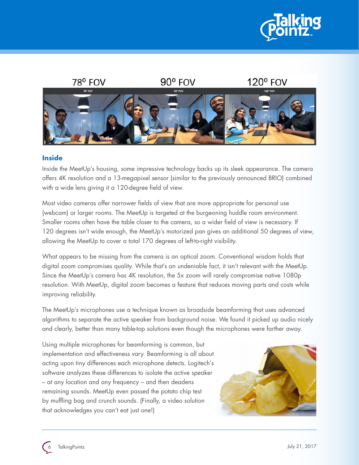



#### **Inside**

Inside the MeetUp's housing, some impressive technology backs up its sleek appearance. The camera offers 4K resolution and a 13-megapixel sensor (similar to the previously announced BRIO) combined with a wide lens giving it a 120-degree field of view.

Most video cameras offer narrower fields of view that are more appropriate for personal use (webcam) or larger rooms. The MeetUp is targeted at the burgeoning huddle room environment. Smaller rooms often have the table closer to the camera, so a wider field of view is necessary. If 120 degrees isn't wide enough, the MeetUp's motorized pan gives an additional 50 degrees of view, allowing the MeetUp to cover a total 170 degrees of left-to-right visibility.

What appears to be missing from the camera is an optical zoom. Conventional wisdom holds that digital zoom compromises quality. While that's an undeniable fact, it isn't relevant with the MeetUp. Since the MeetUp's camera has 4K resolution, the 5x zoom will rarely compromise native 1080p resolution. With MeetUp, digital zoom becomes a feature that reduces moving parts and costs while improving reliability.

The MeetUp's microphones use a technique known as broadside beamforming that uses advanced algorithms to separate the active speaker from background noise. We found it picked up audio nicely and clearly, better than many table-top solutions even though the microphones were farther away.

Using multiple microphones for beamforming is common, but implementation and effectiveness vary. Beamforming is all about acting upon tiny differences each microphone detects. Logitech's software analyzes these differences to isolate the active speaker – at any location and any frequency – and then deadens remaining sounds. MeetUp even passed the potato chip test by muffling bag and crunch sounds. (Finally, a video solution that acknowledges you can't eat just one!)

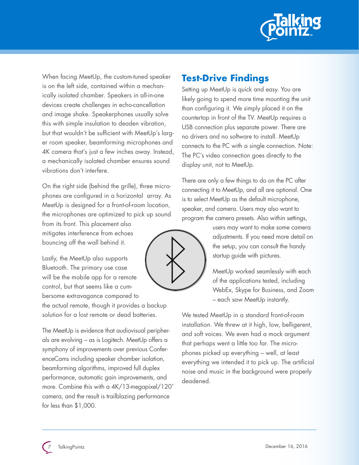

When facing MeetUp, the custom-tuned speaker is on the left side, contained within a mechanically isolated chamber. Speakers in all-in-one devices create challenges in echo-cancellation and image shake. Speakerphones usually solve this with simple insulation to deaden vibration, but that wouldn't be sufficient with MeetUp's larger room speaker, beamforming microphones and 4K camera that's just a few inches away. Instead, a mechanically isolated chamber ensures sound vibrations don't interfere.

On the right side (behind the grille), three microphones are configured in a horizontal array. As MeetUp is designed for a front-of-room location, the microphones are optimized to pick up sound

from its front. This placement also mitigates interference from echoes bouncing off the wall behind it.

Lastly, the MeetUp also supports Bluetooth. The primary use case will be the mobile app for a remote control, but that seems like a cumbersome extravagance compared to the actual remote, though it provides a backup solution for a lost remote or dead batteries.

The MeetUp is evidence that audiovisual peripherals are evolving – as is Logitech. MeetUp offers a symphony of improvements over previous ConferenceCams including speaker chamber isolation, beamforming algorithms, improved full duplex performance, automatic gain improvements, and more. Combine this with a 4K/13-megapixel/120˚ camera, and the result is trailblazing performance for less than \$1,000.

## **Test-Drive Findings**

Setting up MeetUp is quick and easy. You are likely going to spend more time mounting the unit than configuring it. We simply placed it on the countertop in front of the TV. MeetUp requires a USB connection plus separate power. There are no drivers and no software to install. MeetUp connects to the PC with a single connection. Note: The PC's video connection goes directly to the display unit, not to MeetUp.

There are only a few things to do on the PC after connecting it to MeetUp, and all are optional. One is to select MeetUp as the default microphone, speaker, and camera. Users may also want to program the camera presets. Also within settings,



users may want to make some camera adjustments. If you need more detail on the setup, you can consult the handy startup guide with pictures.

MeetUp worked seamlessly with each of the applications tested, including WebEx, Skype for Business, and Zoom – each saw MeetUp instantly.

We tested MeetUp in a standard front-of-room installation. We threw at it high, low, belligerent, and soft voices. We even had a mock argument that perhaps went a little too far. The microphones picked up everything – well, at least everything we intended it to pick up. The artificial noise and music in the background were properly deadened.